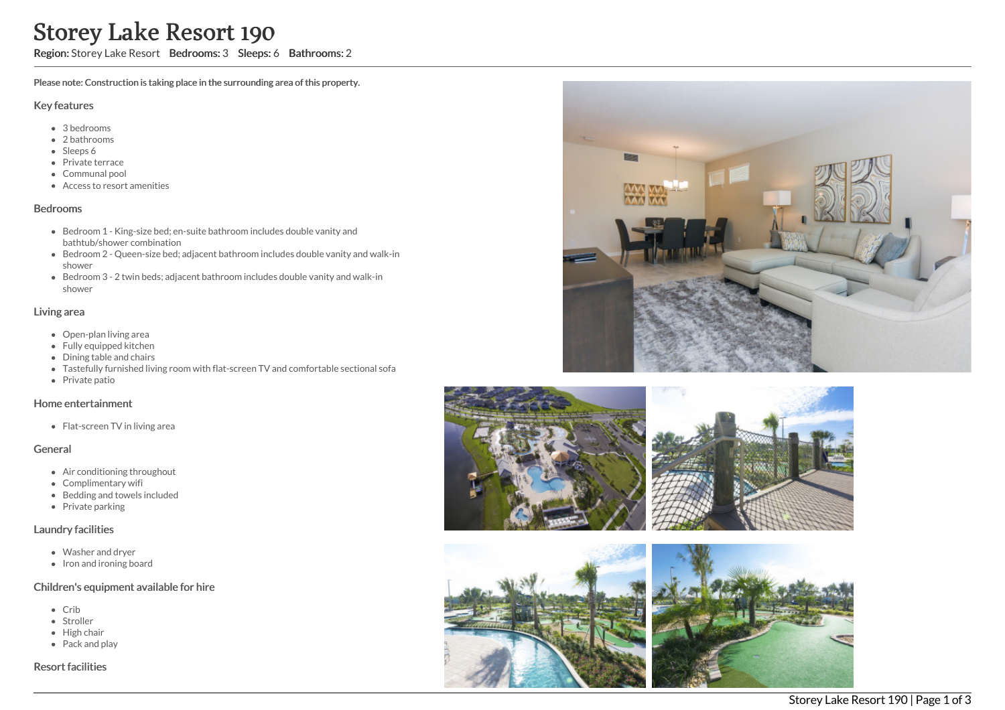# Storey Lake Resort 190

Region: Storey Lake Resort Bedrooms: 3 Sleeps: 6 Bathrooms: 2

Please note: Construction is taking place in the surrounding area of this property.

#### Key features

- 3 bedrooms
- 2 bathrooms
- Sleeps 6
- Private terrace
- Communal pool
- Access to resort amenities

#### Bedrooms

- Bedroom 1 King-size bed; en-suite bathroom includes double vanity and bathtub/shower combination
- Bedroom 2 Queen-size bed; adjacent bathroom includes double vanity and walk-in shower
- Bedroom 3 2 twin beds; adjacent bathroom includes double vanity and walk-in shower

# Living area

- Open-plan living area
- Fully equipped kitchen
- Dining table and chairs
- Tastefully furnished living room with flat-screen TV and comfortable sectional sofa
- Private patio

## Home entertainment

• Flat-screen TV in living area

## General

- Air conditioning throughout
- Complimentary wifi
- Bedding and towels included
- Private parking

## Laundry facilities

- Washer and dryer
- Iron and ironing board

## Children's equipment available for hire

- Crib
- Stroller
- High chair
- Pack and play

Resort facilities





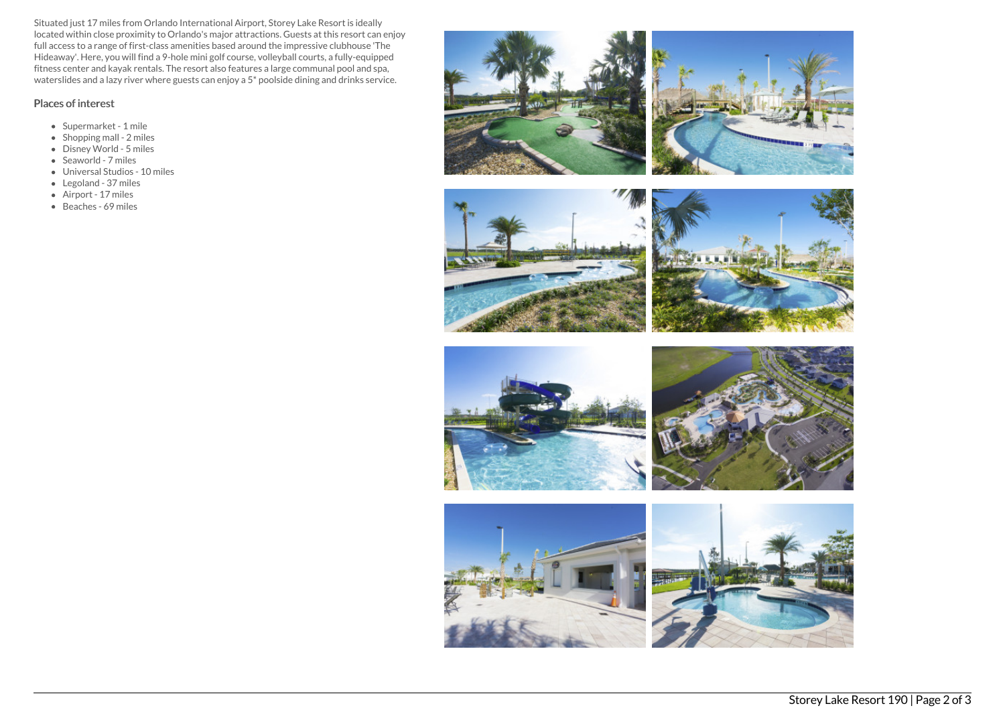Situated just 17 miles from Orlando International Airport, Storey Lake Resort is ideally located within close proximity to Orlando's major attractions. Guests at this resort can enjoy full access to a range of first-class amenities based around the impressive clubhouse 'The Hideaway'. Here, you will find a 9-hole mini golf course, volleyball courts, a fully-equipped fitness center and kayak rentals. The resort also features a large communal pool and spa, waterslides and a lazy river where guests can enjoy a 5\* poolside dining and drinks service.

## Places of interest

- Supermarket 1 mile
- Shopping mall 2 miles
- Disney World 5 miles
- Seaworld 7 miles
- Universal Studios 10 miles
- Legoland 37 miles
- Airport 17 miles
- Beaches 69 miles